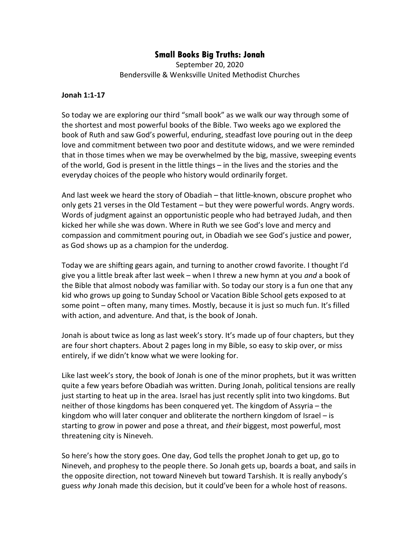## Small Books Big Truths: Jonah

September 20, 2020 Bendersville & Wenksville United Methodist Churches

## Jonah 1:1-17

So today we are exploring our third "small book" as we walk our way through some of the shortest and most powerful books of the Bible. Two weeks ago we explored the book of Ruth and saw God's powerful, enduring, steadfast love pouring out in the deep love and commitment between two poor and destitute widows, and we were reminded that in those times when we may be overwhelmed by the big, massive, sweeping events of the world, God is present in the little things – in the lives and the stories and the everyday choices of the people who history would ordinarily forget.

And last week we heard the story of Obadiah – that little-known, obscure prophet who only gets 21 verses in the Old Testament – but they were powerful words. Angry words. Words of judgment against an opportunistic people who had betrayed Judah, and then kicked her while she was down. Where in Ruth we see God's love and mercy and compassion and commitment pouring out, in Obadiah we see God's justice and power, as God shows up as a champion for the underdog.

Today we are shifting gears again, and turning to another crowd favorite. I thought I'd give you a little break after last week – when I threw a new hymn at you *and* a book of the Bible that almost nobody was familiar with. So today our story is a fun one that any kid who grows up going to Sunday School or Vacation Bible School gets exposed to at some point – often many, many times. Mostly, because it is just so much fun. It's filled with action, and adventure. And that, is the book of Jonah.

Jonah is about twice as long as last week's story. It's made up of four chapters, but they are four short chapters. About 2 pages long in my Bible, so easy to skip over, or miss entirely, if we didn't know what we were looking for.

Like last week's story, the book of Jonah is one of the minor prophets, but it was written quite a few years before Obadiah was written. During Jonah, political tensions are really just starting to heat up in the area. Israel has just recently split into two kingdoms. But neither of those kingdoms has been conquered yet. The kingdom of Assyria – the kingdom who will later conquer and obliterate the northern kingdom of Israel – is starting to grow in power and pose a threat, and their biggest, most powerful, most threatening city is Nineveh.

So here's how the story goes. One day, God tells the prophet Jonah to get up, go to Nineveh, and prophesy to the people there. So Jonah gets up, boards a boat, and sails in the opposite direction, not toward Nineveh but toward Tarshish. It is really anybody's guess why Jonah made this decision, but it could've been for a whole host of reasons.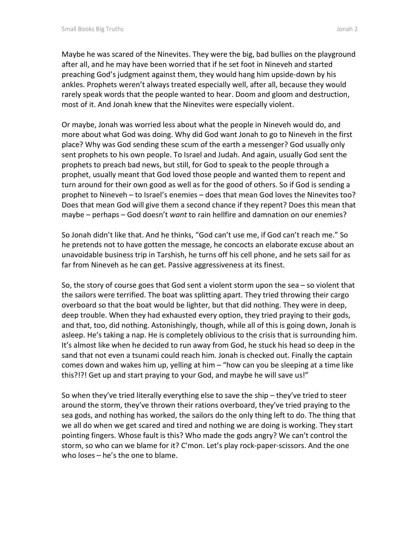Maybe he was scared of the Ninevites. They were the big, bad bullies on the playground after all, and he may have been worried that if he set foot in Nineveh and started preaching God's judgment against them, they would hang him upside-down by his ankles. Prophets weren't always treated especially well, after all, because they would rarely speak words that the people wanted to hear. Doom and gloom and destruction, most of it. And Jonah knew that the Ninevites were especially violent.

Or maybe, Jonah was worried less about what the people in Nineveh would do, and more about what God was doing. Why did God want Jonah to go to Nineveh in the first place? Why was God sending these scum of the earth a messenger? God usually only sent prophets to his own people. To Israel and Judah. And again, usually God sent the prophets to preach bad news, but still, for God to speak to the people through a prophet, usually meant that God loved those people and wanted them to repent and turn around for their own good as well as for the good of others. So if God is sending a prophet to Nineveh – to Israel's enemies – does that mean God loves the Ninevites too? Does that mean God will give them a second chance if they repent? Does this mean that maybe – perhaps – God doesn't want to rain hellfire and damnation on our enemies?

So Jonah didn't like that. And he thinks, "God can't use me, if God can't reach me." So he pretends not to have gotten the message, he concocts an elaborate excuse about an unavoidable business trip in Tarshish, he turns off his cell phone, and he sets sail for as far from Nineveh as he can get. Passive aggressiveness at its finest.

So, the story of course goes that God sent a violent storm upon the sea – so violent that the sailors were terrified. The boat was splitting apart. They tried throwing their cargo overboard so that the boat would be lighter, but that did nothing. They were in deep, deep trouble. When they had exhausted every option, they tried praying to their gods, and that, too, did nothing. Astonishingly, though, while all of this is going down, Jonah is asleep. He's taking a nap. He is completely oblivious to the crisis that is surrounding him. It's almost like when he decided to run away from God, he stuck his head so deep in the sand that not even a tsunami could reach him. Jonah is checked out. Finally the captain comes down and wakes him up, yelling at him – "how can you be sleeping at a time like this?!?! Get up and start praying to your God, and maybe he will save us!"

So when they've tried literally everything else to save the ship – they've tried to steer around the storm, they've thrown their rations overboard, they've tried praying to the sea gods, and nothing has worked, the sailors do the only thing left to do. The thing that we all do when we get scared and tired and nothing we are doing is working. They start pointing fingers. Whose fault is this? Who made the gods angry? We can't control the storm, so who can we blame for it? C'mon. Let's play rock-paper-scissors. And the one who loses – he's the one to blame.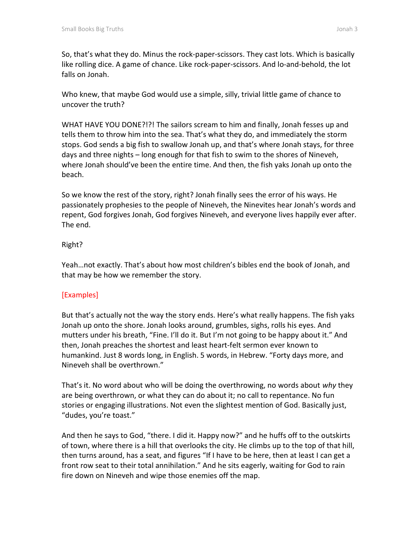So, that's what they do. Minus the rock-paper-scissors. They cast lots. Which is basically like rolling dice. A game of chance. Like rock-paper-scissors. And lo-and-behold, the lot falls on Jonah.

Who knew, that maybe God would use a simple, silly, trivial little game of chance to uncover the truth?

WHAT HAVE YOU DONE?!?! The sailors scream to him and finally, Jonah fesses up and tells them to throw him into the sea. That's what they do, and immediately the storm stops. God sends a big fish to swallow Jonah up, and that's where Jonah stays, for three days and three nights – long enough for that fish to swim to the shores of Nineveh, where Jonah should've been the entire time. And then, the fish yaks Jonah up onto the beach.

So we know the rest of the story, right? Jonah finally sees the error of his ways. He passionately prophesies to the people of Nineveh, the Ninevites hear Jonah's words and repent, God forgives Jonah, God forgives Nineveh, and everyone lives happily ever after. The end.

## Right?

Yeah…not exactly. That's about how most children's bibles end the book of Jonah, and that may be how we remember the story.

## [Examples]

But that's actually not the way the story ends. Here's what really happens. The fish yaks Jonah up onto the shore. Jonah looks around, grumbles, sighs, rolls his eyes. And mutters under his breath, "Fine. I'll do it. But I'm not going to be happy about it." And then, Jonah preaches the shortest and least heart-felt sermon ever known to humankind. Just 8 words long, in English. 5 words, in Hebrew. "Forty days more, and Nineveh shall be overthrown."

That's it. No word about who will be doing the overthrowing, no words about why they are being overthrown, or what they can do about it; no call to repentance. No fun stories or engaging illustrations. Not even the slightest mention of God. Basically just, "dudes, you're toast."

And then he says to God, "there. I did it. Happy now?" and he huffs off to the outskirts of town, where there is a hill that overlooks the city. He climbs up to the top of that hill, then turns around, has a seat, and figures "If I have to be here, then at least I can get a front row seat to their total annihilation." And he sits eagerly, waiting for God to rain fire down on Nineveh and wipe those enemies off the map.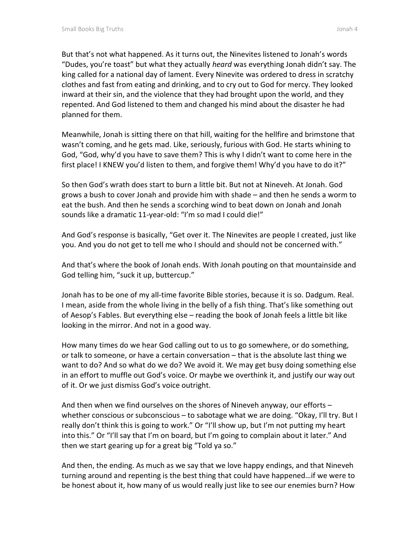But that's not what happened. As it turns out, the Ninevites listened to Jonah's words "Dudes, you're toast" but what they actually heard was everything Jonah didn't say. The king called for a national day of lament. Every Ninevite was ordered to dress in scratchy clothes and fast from eating and drinking, and to cry out to God for mercy. They looked inward at their sin, and the violence that they had brought upon the world, and they repented. And God listened to them and changed his mind about the disaster he had planned for them.

Meanwhile, Jonah is sitting there on that hill, waiting for the hellfire and brimstone that wasn't coming, and he gets mad. Like, seriously, furious with God. He starts whining to God, "God, why'd you have to save them? This is why I didn't want to come here in the first place! I KNEW you'd listen to them, and forgive them! Why'd you have to do it?"

So then God's wrath does start to burn a little bit. But not at Nineveh. At Jonah. God grows a bush to cover Jonah and provide him with shade – and then he sends a worm to eat the bush. And then he sends a scorching wind to beat down on Jonah and Jonah sounds like a dramatic 11-year-old: "I'm so mad I could die!"

And God's response is basically, "Get over it. The Ninevites are people I created, just like you. And you do not get to tell me who I should and should not be concerned with."

And that's where the book of Jonah ends. With Jonah pouting on that mountainside and God telling him, "suck it up, buttercup."

Jonah has to be one of my all-time favorite Bible stories, because it is so. Dadgum. Real. I mean, aside from the whole living in the belly of a fish thing. That's like something out of Aesop's Fables. But everything else – reading the book of Jonah feels a little bit like looking in the mirror. And not in a good way.

How many times do we hear God calling out to us to go somewhere, or do something, or talk to someone, or have a certain conversation – that is the absolute last thing we want to do? And so what do we do? We avoid it. We may get busy doing something else in an effort to muffle out God's voice. Or maybe we overthink it, and justify our way out of it. Or we just dismiss God's voice outright.

And then when we find ourselves on the shores of Nineveh anyway, our efforts – whether conscious or subconscious – to sabotage what we are doing. "Okay, I'll try. But I really don't think this is going to work." Or "I'll show up, but I'm not putting my heart into this." Or "I'll say that I'm on board, but I'm going to complain about it later." And then we start gearing up for a great big "Told ya so."

And then, the ending. As much as we say that we love happy endings, and that Nineveh turning around and repenting is the best thing that could have happened…if we were to be honest about it, how many of us would really just like to see our enemies burn? How